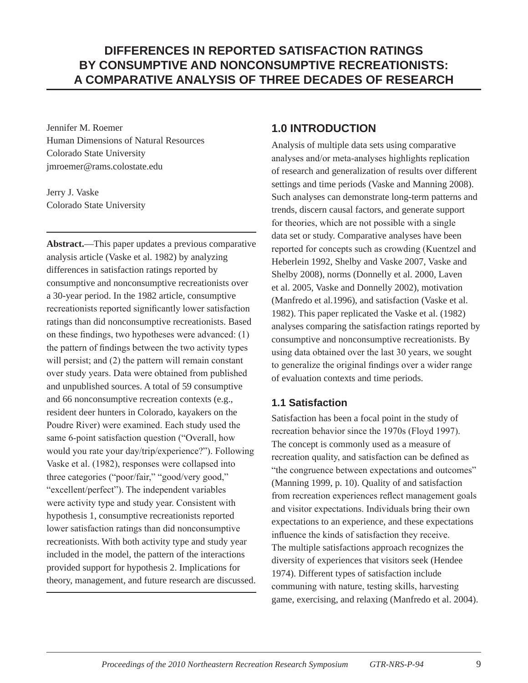# **DIFFERENCES IN REPORTED SATISFACTION RATINGS BY CONSUMPTIVE AND NONCONSUMPTIVE RECREATIONISTS: A COMPARATIVE ANALYSIS OF THREE DECADES OF RESEARCH**

Jennifer M. Roemer Human Dimensions of Natural Resources Colorado State University jmroemer@rams.colostate.edu

Jerry J. Vaske Colorado State University

**Abstract.**—This paper updates a previous comparative analysis article (Vaske et al. 1982) by analyzing differences in satisfaction ratings reported by consumptive and nonconsumptive recreationists over a 30-year period. In the 1982 article, consumptive recreationists reported significantly lower satisfaction ratings than did nonconsumptive recreationists. Based on these findings, two hypotheses were advanced: (1) the pattern of findings between the two activity types will persist; and (2) the pattern will remain constant over study years. Data were obtained from published and unpublished sources. A total of 59 consumptive and 66 nonconsumptive recreation contexts (e.g., resident deer hunters in Colorado, kayakers on the Poudre River) were examined. Each study used the same 6-point satisfaction question ("Overall, how would you rate your day/trip/experience?"). Following Vaske et al. (1982), responses were collapsed into three categories ("poor/fair," "good/very good," "excellent/perfect"). The independent variables were activity type and study year. Consistent with hypothesis 1, consumptive recreationists reported lower satisfaction ratings than did nonconsumptive recreationists. With both activity type and study year included in the model, the pattern of the interactions provided support for hypothesis 2. Implications for theory, management, and future research are discussed.

#### **1.0 Introduction**

Analysis of multiple data sets using comparative analyses and/or meta-analyses highlights replication of research and generalization of results over different settings and time periods (Vaske and Manning 2008). Such analyses can demonstrate long-term patterns and trends, discern causal factors, and generate support for theories, which are not possible with a single data set or study. Comparative analyses have been reported for concepts such as crowding (Kuentzel and Heberlein 1992, Shelby and Vaske 2007, Vaske and Shelby 2008), norms (Donnelly et al. 2000, Laven et al. 2005, Vaske and Donnelly 2002), motivation (Manfredo et al.1996), and satisfaction (Vaske et al. 1982). This paper replicated the Vaske et al. (1982) analyses comparing the satisfaction ratings reported by consumptive and nonconsumptive recreationists. By using data obtained over the last 30 years, we sought to generalize the original findings over a wider range of evaluation contexts and time periods.

## **1.1 Satisfaction**

Satisfaction has been a focal point in the study of recreation behavior since the 1970s (Floyd 1997). The concept is commonly used as a measure of recreation quality, and satisfaction can be defined as "the congruence between expectations and outcomes" (Manning 1999, p. 10). Quality of and satisfaction from recreation experiences reflect management goals and visitor expectations. Individuals bring their own expectations to an experience, and these expectations influence the kinds of satisfaction they receive. The multiple satisfactions approach recognizes the diversity of experiences that visitors seek (Hendee 1974). Different types of satisfaction include communing with nature, testing skills, harvesting game, exercising, and relaxing (Manfredo et al. 2004).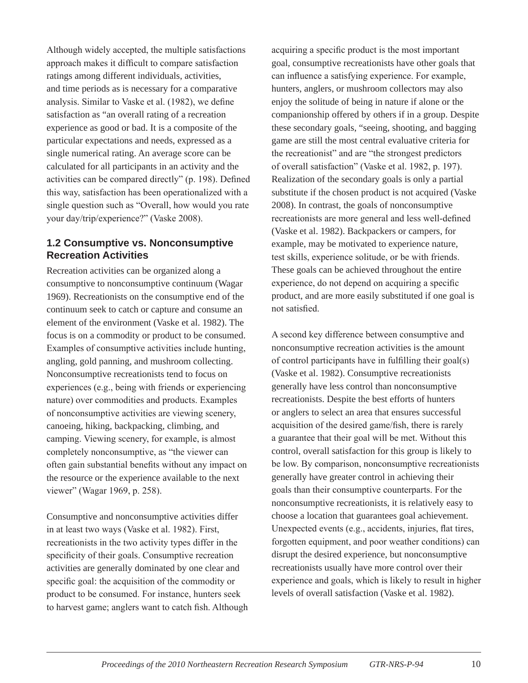Although widely accepted, the multiple satisfactions approach makes it difficult to compare satisfaction ratings among different individuals, activities, and time periods as is necessary for a comparative analysis. Similar to Vaske et al. (1982), we define satisfaction as "an overall rating of a recreation experience as good or bad. It is a composite of the particular expectations and needs, expressed as a single numerical rating. An average score can be calculated for all participants in an activity and the activities can be compared directly" (p. 198). Defined this way, satisfaction has been operationalized with a single question such as "Overall, how would you rate your day/trip/experience?" (Vaske 2008).

#### **1.2 Consumptive vs. Nonconsumptive Recreation Activities**

Recreation activities can be organized along a consumptive to nonconsumptive continuum (Wagar 1969). Recreationists on the consumptive end of the continuum seek to catch or capture and consume an element of the environment (Vaske et al. 1982). The focus is on a commodity or product to be consumed. Examples of consumptive activities include hunting, angling, gold panning, and mushroom collecting. Nonconsumptive recreationists tend to focus on experiences (e.g., being with friends or experiencing nature) over commodities and products. Examples of nonconsumptive activities are viewing scenery, canoeing, hiking, backpacking, climbing, and camping. Viewing scenery, for example, is almost completely nonconsumptive, as "the viewer can often gain substantial benefits without any impact on the resource or the experience available to the next viewer" (Wagar 1969, p. 258).

Consumptive and nonconsumptive activities differ in at least two ways (Vaske et al. 1982). First, recreationists in the two activity types differ in the specificity of their goals. Consumptive recreation activities are generally dominated by one clear and specific goal: the acquisition of the commodity or product to be consumed. For instance, hunters seek to harvest game; anglers want to catch fish. Although acquiring a specific product is the most important goal, consumptive recreationists have other goals that can influence a satisfying experience. For example, hunters, anglers, or mushroom collectors may also enjoy the solitude of being in nature if alone or the companionship offered by others if in a group. Despite these secondary goals, "seeing, shooting, and bagging game are still the most central evaluative criteria for the recreationist" and are "the strongest predictors of overall satisfaction" (Vaske et al. 1982, p. 197). Realization of the secondary goals is only a partial substitute if the chosen product is not acquired (Vaske 2008). In contrast, the goals of nonconsumptive recreationists are more general and less well-defined (Vaske et al. 1982). Backpackers or campers, for example, may be motivated to experience nature, test skills, experience solitude, or be with friends. These goals can be achieved throughout the entire experience, do not depend on acquiring a specific product, and are more easily substituted if one goal is not satisfied.

A second key difference between consumptive and nonconsumptive recreation activities is the amount of control participants have in fulfilling their goal(s) (Vaske et al. 1982). Consumptive recreationists generally have less control than nonconsumptive recreationists. Despite the best efforts of hunters or anglers to select an area that ensures successful acquisition of the desired game/fish, there is rarely a guarantee that their goal will be met. Without this control, overall satisfaction for this group is likely to be low. By comparison, nonconsumptive recreationists generally have greater control in achieving their goals than their consumptive counterparts. For the nonconsumptive recreationists, it is relatively easy to choose a location that guarantees goal achievement. Unexpected events (e.g., accidents, injuries, flat tires, forgotten equipment, and poor weather conditions) can disrupt the desired experience, but nonconsumptive recreationists usually have more control over their experience and goals, which is likely to result in higher levels of overall satisfaction (Vaske et al. 1982).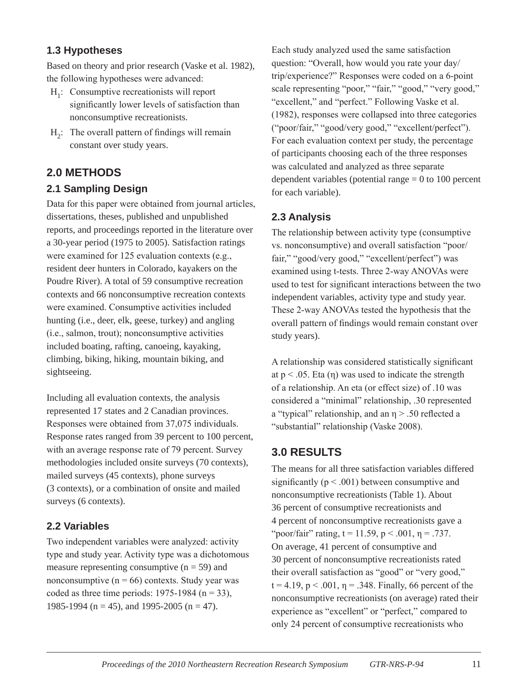#### **1.3 Hypotheses**

Based on theory and prior research (Vaske et al. 1982), the following hypotheses were advanced:

- H<sub>1</sub>: Consumptive recreationists will report significantly lower levels of satisfaction than nonconsumptive recreationists.
- $H<sub>2</sub>$ : The overall pattern of findings will remain constant over study years.

# **2.0 Methods**

## **2.1 Sampling Design**

Data for this paper were obtained from journal articles, dissertations, theses, published and unpublished reports, and proceedings reported in the literature over a 30-year period (1975 to 2005). Satisfaction ratings were examined for 125 evaluation contexts (e.g., resident deer hunters in Colorado, kayakers on the Poudre River). A total of 59 consumptive recreation contexts and 66 nonconsumptive recreation contexts were examined. Consumptive activities included hunting (i.e., deer, elk, geese, turkey) and angling (i.e., salmon, trout); nonconsumptive activities included boating, rafting, canoeing, kayaking, climbing, biking, hiking, mountain biking, and sightseeing.

Including all evaluation contexts, the analysis represented 17 states and 2 Canadian provinces. Responses were obtained from 37,075 individuals. Response rates ranged from 39 percent to 100 percent, with an average response rate of 79 percent. Survey methodologies included onsite surveys (70 contexts), mailed surveys (45 contexts), phone surveys (3 contexts), or a combination of onsite and mailed surveys (6 contexts).

#### **2.2 Variables**

Two independent variables were analyzed: activity type and study year. Activity type was a dichotomous measure representing consumptive  $(n = 59)$  and nonconsumptive  $(n = 66)$  contexts. Study year was coded as three time periods:  $1975-1984$  (n = 33), 1985-1994 (n = 45), and 1995-2005 (n = 47).

Each study analyzed used the same satisfaction question: "Overall, how would you rate your day/ trip/experience?" Responses were coded on a 6-point scale representing "poor," "fair," "good," "very good," "excellent," and "perfect." Following Vaske et al. (1982), responses were collapsed into three categories ("poor/fair," "good/very good," "excellent/perfect"). For each evaluation context per study, the percentage of participants choosing each of the three responses was calculated and analyzed as three separate dependent variables (potential range  $= 0$  to 100 percent for each variable).

## **2.3 Analysis**

The relationship between activity type (consumptive vs. nonconsumptive) and overall satisfaction "poor/ fair," "good/very good," "excellent/perfect") was examined using t-tests. Three 2-way ANOVAs were used to test for significant interactions between the two independent variables, activity type and study year. These 2-way ANOVAs tested the hypothesis that the overall pattern of findings would remain constant over study years).

A relationship was considered statistically significant at  $p < .05$ . Eta (η) was used to indicate the strength of a relationship. An eta (or effect size) of .10 was considered a "minimal" relationship, .30 represented a "typical" relationship, and an η > .50 reflected a "substantial" relationship (Vaske 2008).

# **3.0 Results**

The means for all three satisfaction variables differed significantly ( $p < .001$ ) between consumptive and nonconsumptive recreationists (Table 1). About 36 percent of consumptive recreationists and 4 percent of nonconsumptive recreationists gave a "poor/fair" rating,  $t = 11.59$ ,  $p < .001$ ,  $\eta = .737$ . On average, 41 percent of consumptive and 30 percent of nonconsumptive recreationists rated their overall satisfaction as "good" or "very good,"  $t = 4.19$ ,  $p < .001$ ,  $\eta = .348$ . Finally, 66 percent of the nonconsumptive recreationists (on average) rated their experience as "excellent" or "perfect," compared to only 24 percent of consumptive recreationists who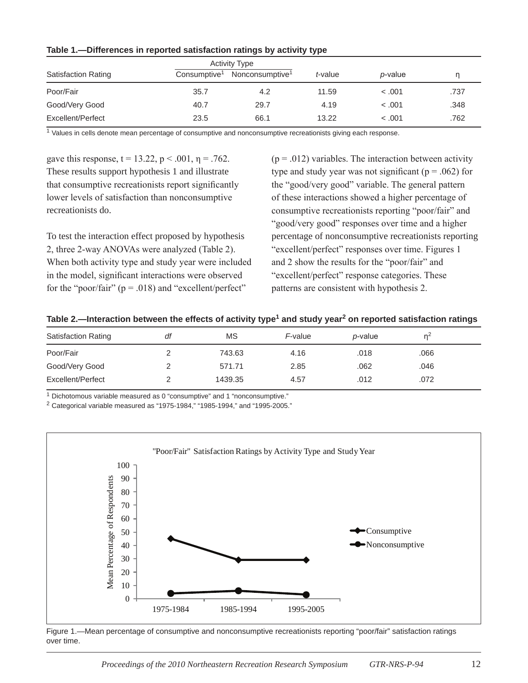| .                          |                          |                             |         |                 |      |  |  |  |  |
|----------------------------|--------------------------|-----------------------------|---------|-----------------|------|--|--|--|--|
|                            |                          | <b>Activity Type</b>        |         |                 |      |  |  |  |  |
| <b>Satisfaction Rating</b> | Consumptive <sup>1</sup> | Nonconsumptive <sup>1</sup> | t-value | <i>p</i> -value |      |  |  |  |  |
| Poor/Fair                  | 35.7                     | 4.2                         | 11.59   | < 0.001         | .737 |  |  |  |  |
| Good/Very Good             | 40.7                     | 29.7                        | 4.19    | < 0.001         | .348 |  |  |  |  |
| Excellent/Perfect          | 23.5                     | 66.1                        | 13.22   | < 0.001         | .762 |  |  |  |  |

#### **Table 1.—Differences in reported satisfaction ratings by activity type**

<sup>1</sup> Values in cells denote mean percentage of consumptive and nonconsumptive recreationists giving each response.

gave this response,  $t = 13.22$ ,  $p < .001$ ,  $\eta = .762$ . These results support hypothesis 1 and illustrate that consumptive recreationists report significantly lower levels of satisfaction than nonconsumptive recreationists do.

To test the interaction effect proposed by hypothesis 2, three 2-way ANOVAs were analyzed (Table 2). When both activity type and study year were included in the model, significant interactions were observed for the "poor/fair"  $(p = .018)$  and "excellent/perfect"

 $(p = .012)$  variables. The interaction between activity type and study year was not significant ( $p = .062$ ) for the "good/very good" variable. The general pattern of these interactions showed a higher percentage of consumptive recreationists reporting "poor/fair" and "good/very good" responses over time and a higher percentage of nonconsumptive recreationists reporting "excellent/perfect" responses over time. Figures 1 and 2 show the results for the "poor/fair" and "excellent/perfect" response categories. These patterns are consistent with hypothesis 2.

| <b>Satisfaction Rating</b> | df | ΜS      | F-value | <i>p</i> -value | n∸   |  |
|----------------------------|----|---------|---------|-----------------|------|--|
| Poor/Fair                  |    | 743.63  | 4.16    | .018            | .066 |  |
| Good/Very Good             |    | 571.71  | 2.85    | .062            | .046 |  |
| Excellent/Perfect          |    | 1439.35 | 4.57    | .012            | .072 |  |

<sup>1</sup> Dichotomous variable measured as 0 "consumptive" and 1 "nonconsumptive."

 $2$  Categorical variable measured as "1975-1984," "1985-1994," and "1995-2005."



Figure 1.—Mean percentage of consumptive and nonconsumptive recreationists reporting "poor/fair" satisfaction ratings over time.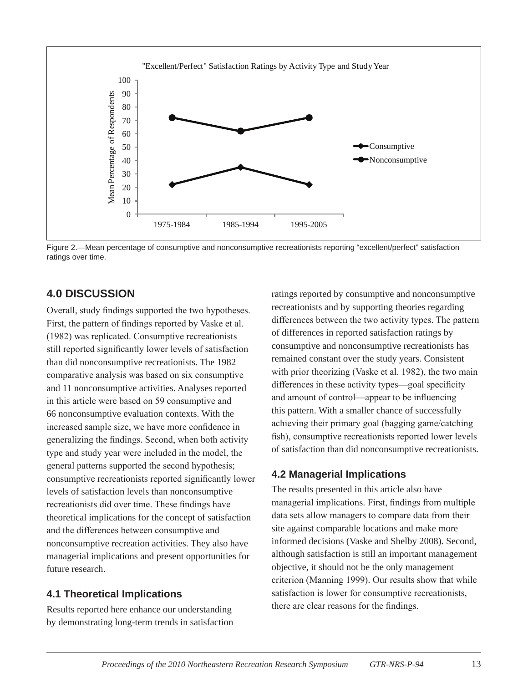

Figure 2.—Mean percentage of consumptive and nonconsumptive recreationists reporting "excellent/perfect" satisfaction ratings over time.

## **4.0 Discussion**

Overall, study findings supported the two hypotheses. First, the pattern of findings reported by Vaske et al. (1982) was replicated. Consumptive recreationists still reported significantly lower levels of satisfaction than did nonconsumptive recreationists. The 1982 comparative analysis was based on six consumptive and 11 nonconsumptive activities. Analyses reported in this article were based on 59 consumptive and 66 nonconsumptive evaluation contexts. With the increased sample size, we have more confidence in generalizing the findings. Second, when both activity type and study year were included in the model, the general patterns supported the second hypothesis; consumptive recreationists reported significantly lower levels of satisfaction levels than nonconsumptive recreationists did over time. These findings have theoretical implications for the concept of satisfaction and the differences between consumptive and nonconsumptive recreation activities. They also have managerial implications and present opportunities for future research.

#### **4.1 Theoretical Implications**

Results reported here enhance our understanding by demonstrating long-term trends in satisfaction ratings reported by consumptive and nonconsumptive recreationists and by supporting theories regarding differences between the two activity types. The pattern of differences in reported satisfaction ratings by consumptive and nonconsumptive recreationists has remained constant over the study years. Consistent with prior theorizing (Vaske et al. 1982), the two main differences in these activity types—goal specificity and amount of control—appear to be influencing this pattern. With a smaller chance of successfully achieving their primary goal (bagging game/catching fish), consumptive recreationists reported lower levels of satisfaction than did nonconsumptive recreationists.

## **4.2 Managerial Implications**

The results presented in this article also have managerial implications. First, findings from multiple data sets allow managers to compare data from their site against comparable locations and make more informed decisions (Vaske and Shelby 2008). Second, although satisfaction is still an important management objective, it should not be the only management criterion (Manning 1999). Our results show that while satisfaction is lower for consumptive recreationists, there are clear reasons for the findings.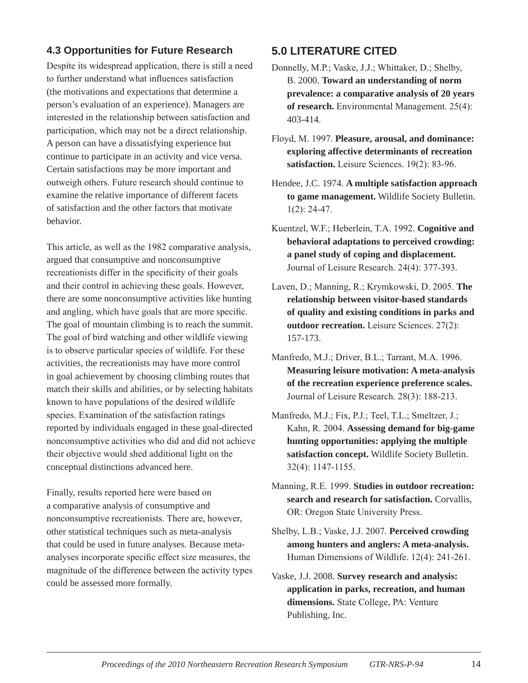#### **4.3 Opportunities for Future Research**

Despite its widespread application, there is still a need to further understand what influences satisfaction (the motivations and expectations that determine a person's evaluation of an experience). Managers are interested in the relationship between satisfaction and participation, which may not be a direct relationship. A person can have a dissatisfying experience but continue to participate in an activity and vice versa. Certain satisfactions may be more important and outweigh others. Future research should continue to examine the relative importance of different facets of satisfaction and the other factors that motivate behavior.

This article, as well as the 1982 comparative analysis, argued that consumptive and nonconsumptive recreationists differ in the specificity of their goals and their control in achieving these goals. However, there are some nonconsumptive activities like hunting and angling, which have goals that are more specific. The goal of mountain climbing is to reach the summit. The goal of bird watching and other wildlife viewing is to observe particular species of wildlife. For these activities, the recreationists may have more control in goal achievement by choosing climbing routes that match their skills and abilities, or by selecting habitats known to have populations of the desired wildlife species. Examination of the satisfaction ratings reported by individuals engaged in these goal-directed nonconsumptive activities who did and did not achieve their objective would shed additional light on the conceptual distinctions advanced here.

Finally, results reported here were based on a comparative analysis of consumptive and nonconsumptive recreationists. There are, however, other statistical techniques such as meta-analysis that could be used in future analyses. Because metaanalyses incorporate specific effect size measures, the magnitude of the difference between the activity types could be assessed more formally.

## **5.0 Literature Cited**

- Donnelly, M.P.; Vaske, J.J.; Whittaker, D.; Shelby, B. 2000. **Toward an understanding of norm prevalence: a comparative analysis of 20 years of research.** Environmental Management. 25(4): 403-414.
- Floyd, M. 1997. **Pleasure, arousal, and dominance: exploring affective determinants of recreation satisfaction.** Leisure Sciences. 19(2): 83-96.
- Hendee, J.C. 1974. **A multiple satisfaction approach to game management.** Wildlife Society Bulletin. 1(2): 24-47.
- Kuentzel, W.F.; Heberlein, T.A. 1992. **Cognitive and behavioral adaptations to perceived crowding: a panel study of coping and displacement.** Journal of Leisure Research. 24(4): 377-393.
- Laven, D.; Manning, R.; Krymkowski, D. 2005. **The relationship between visitor-based standards of quality and existing conditions in parks and outdoor recreation.** Leisure Sciences. 27(2): 157-173.
- Manfredo, M.J.; Driver, B.L.; Tarrant, M.A. 1996. **Measuring leisure motivation: A meta-analysis of the recreation experience preference scales.** Journal of Leisure Research. 28(3): 188-213.
- Manfredo, M.J.; Fix, P.J.; Teel, T.L.; Smeltzer, J.; Kahn, R. 2004. **Assessing demand for big-game hunting opportunities: applying the multiple satisfaction concept.** Wildlife Society Bulletin. 32(4): 1147-1155.
- Manning, R.E. 1999. **Studies in outdoor recreation: search and research for satisfaction.** Corvallis, OR: Oregon State University Press.
- Shelby, L.B.; Vaske, J.J. 2007. **Perceived crowding among hunters and anglers: A meta-analysis.** Human Dimensions of Wildlife. 12(4): 241-261.
- Vaske, J.J. 2008. **Survey research and analysis: application in parks, recreation, and human dimensions.** State College, PA: Venture Publishing, Inc.